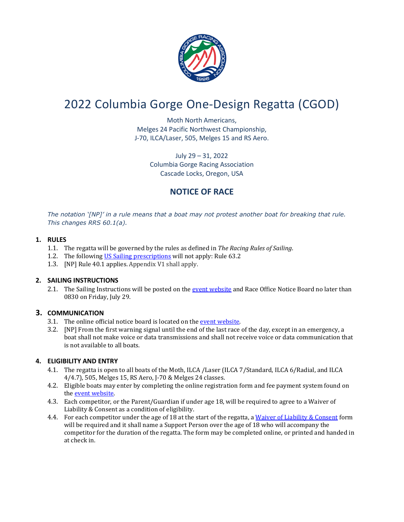

# 2022 Columbia Gorge One-Design Regatta (CGOD)

Moth North Americans, Melges 24 Pacific Northwest Championship, J-70, ILCA/Laser, 505, Melges 15 and RS Aero.

> July 29 – 31, 2022 Columbia Gorge Racing Association Cascade Locks, Oregon, USA

## **NOTICE OF RACE**

*The notation '[NP]' in a rule means that a boat may not protest another boat for breaking that rule. This changes RRS 60.1(a).*

## **1. RULES**

- 1.1. The regatta will be governed by the rules as defined in *The Racing Rules of Sailing*.
- 1.2. The following [US Sailing prescriptions](https://www.ussailing.org/wp-content/uploads/2018/01/2017-2020-US-Prescriptions-final-10.4.2016.pdf) will not apply: Rule 63.2
- 1.3. [NP] Rule 40.1 applies. Appendix V1 shall apply.

## **2. SAILING INSTRUCTIONS**

2.1. The Sailing Instructions will be posted on th[e event website](https://www.regattanetwork.com/event/24514) and Race Office Notice Board no later than 0830 on Friday, July 29.

## **3. COMMUNICATION**

- 3.1. The online official notice board is located on th[e event website.](fruhttps://www.regattanetwork.com/event/24514)
- 3.2. [NP] From the first warning signal until the end of the last race of the day, except in an emergency, a boat shall not make voice or data transmissions and shall not receive voice or data communication that is not available to all boats.

## **4. ELIGIBILITY AND ENTRY**

- 4.1. The regatta is open to all boats of the Moth, ILCA /Laser (ILCA 7/Standard, ILCA 6/Radial, and ILCA 4/4.7), 505, Melges 15, RS Aero, J-70 & Melges 24 classes.
- 4.2. Eligible boats may enter by completing the online registration form and fee payment system found on the [event website.](https://www.regattanetwork.com/event/24514)
- 4.3. Each competitor, or the Parent/Guardian if under age 18, will be required to agree to a Waiver of Liability & Consent as a condition of eligibility.
- 4.4. For each competitor under the age of 18 at the start of the regatta, [a Waiver of Liability & Consent](https://docs.google.com/forms/d/e/1FAIpQLSf34ghiy5eUJStTs7DQnXhRtd8q0TkSGo7pVK9-4jqlbUBq6w/viewform) form will be required and it shall name a Support Person over the age of 18 who will accompany the competitor for the duration of the regatta. The form may be completed online, or printed and handed in at check in.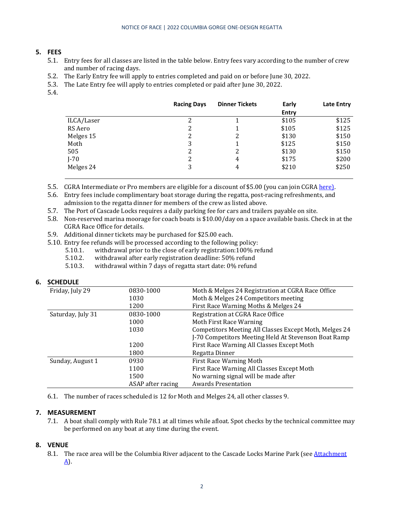#### **5. FEES**

- 5.1. Entry fees for all classes are listed in the table below. Entry fees vary according to the number of crew and number of racing days.
- 5.2. The Early Entry fee will apply to entries completed and paid on or before June 30, 2022.
- 5.3. The Late Entry fee will apply to entries completed or paid after June 30, 2022.
- 5.4.

|            | <b>Racing Days</b> | <b>Dinner Tickets</b> | Early        | Late Entry |
|------------|--------------------|-----------------------|--------------|------------|
|            |                    |                       | <b>Entry</b> |            |
| ILCA/Laser | 2                  |                       | \$105        | \$125      |
| RS Aero    | 2                  |                       | \$105        | \$125      |
| Melges 15  | 2                  | 2                     | \$130        | \$150      |
| Moth       | 3                  |                       | \$125        | \$150      |
| 505        | 2                  | 2                     | \$130        | \$150      |
| $J-70$     | 2                  | 4                     | \$175        | \$200      |
| Melges 24  | 3                  | 4                     | \$210        | \$250      |

5.5. CGRA Intermediate or Pro members are eligible for a discount of \$5.00 (you can join CGR[A here\)](http://www.cgra.org/membership.htm).

- 5.6. Entry fees include complimentary boat storage during the regatta, post-racing refreshments, and admission to the regatta dinner for members of the crew as listed above.
- 5.7. The Port of Cascade Locks requires a daily parking fee for cars and trailers payable on site.
- 5.8. Non-reserved marina moorage for coach boats is \$10.00/day on a space available basis. Check in at the CGRA Race Office for details.
- 5.9. Additional dinner tickets may be purchased for \$25.00 each.
- 5.10. Entry fee refunds will be processed according to the following policy:<br>5.10.1. withdrawal prior to the close of early registration:100% re
	- 5.10.1. withdrawal prior to the close of early registration: 100% refund<br>5.10.2. withdrawal after early registration deadline: 50% refund
	- 5.10.2. withdrawal after early registration deadline: 50% refund<br>5.10.3. withdrawal within 7 days of regatta start date: 0% refund
	- withdrawal within 7 days of regatta start date: 0% refund

#### **6. SCHEDULE**

| Friday, July 29   | 0830-1000         | Moth & Melges 24 Registration at CGRA Race Office      |  |
|-------------------|-------------------|--------------------------------------------------------|--|
|                   | 1030              | Moth & Melges 24 Competitors meeting                   |  |
|                   | 1200              | First Race Warning Moths & Melges 24                   |  |
| Saturday, July 31 | 0830-1000         | Registration at CGRA Race Office                       |  |
|                   | 1000              | Moth First Race Warning                                |  |
|                   | 1030              | Competitors Meeting All Classes Except Moth, Melges 24 |  |
|                   |                   | J-70 Competitors Meeting Held At Stevenson Boat Ramp   |  |
|                   | 1200              | First Race Warning All Classes Except Moth             |  |
|                   | 1800              | Regatta Dinner                                         |  |
| Sunday, August 1  | 0930              | <b>First Race Warning Moth</b>                         |  |
|                   | 1100              | First Race Warning All Classes Except Moth             |  |
|                   | 1500              | No warning signal will be made after                   |  |
|                   | ASAP after racing | <b>Awards Presentation</b>                             |  |

6.1. The number of races scheduled is 12 for Moth and Melges 24, all other classes 9.

#### **7. MEASUREMENT**

7.1. A boat shall comply with Rule 78.1 at all times while afloat. Spot checks by the technical committee may be performed on any boat at any time during the event.

#### **8. VENUE**

8.1. The race area will be the Columbia River adiacent to the Cascade Locks Marine Park (see Attachment [A\)](http://cgra.org/CGRA%20documents/NOR%20Attachment%20A%20(2).pdf).